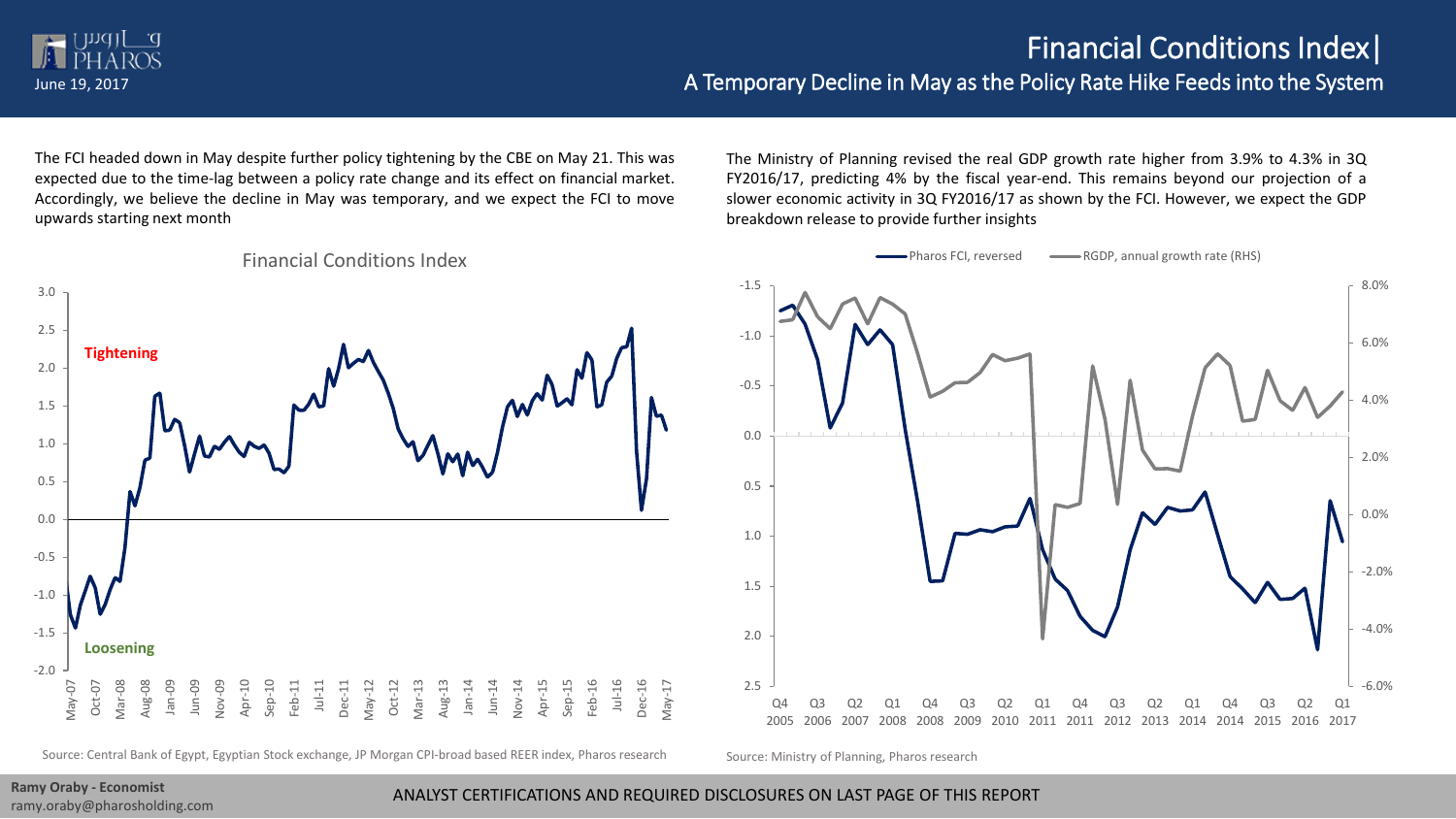## Financial Conditions Index|

## June 19, 2017 A Temporary Decline in May as the Policy Rate Hike Feeds into the System

The FCI headed down in May despite further policy tightening by the CBE on May 21. This was expected due to the time-lag between a policy rate change and its effect on financial market. Accordingly, we believe the decline in May was temporary, and we expect the FCI to move upwards starting next month



Financial Conditions Index

The Ministry of Planning revised the real GDP growth rate higher from 3.9% to 4.3% in 3Q FY2016/17, predicting 4% by the fiscal year-end. This remains beyond our projection of a slower economic activity in 3Q FY2016/17 as shown by the FCI. However, we expect the GDP breakdown release to provide further insights



Source: Central Bank of Egypt, Egyptian Stock exchange, JP Morgan CPI-broad based REER index, Pharos research Source: Ministry of Planning, Pharos research

ramy.oraby@pharosholding.com

ANALYST CERTIFICATIONS AND REQUIRED DISCLOSURES ON LAST PAGE OF THIS REPORT **Ramy Oraby - Economist**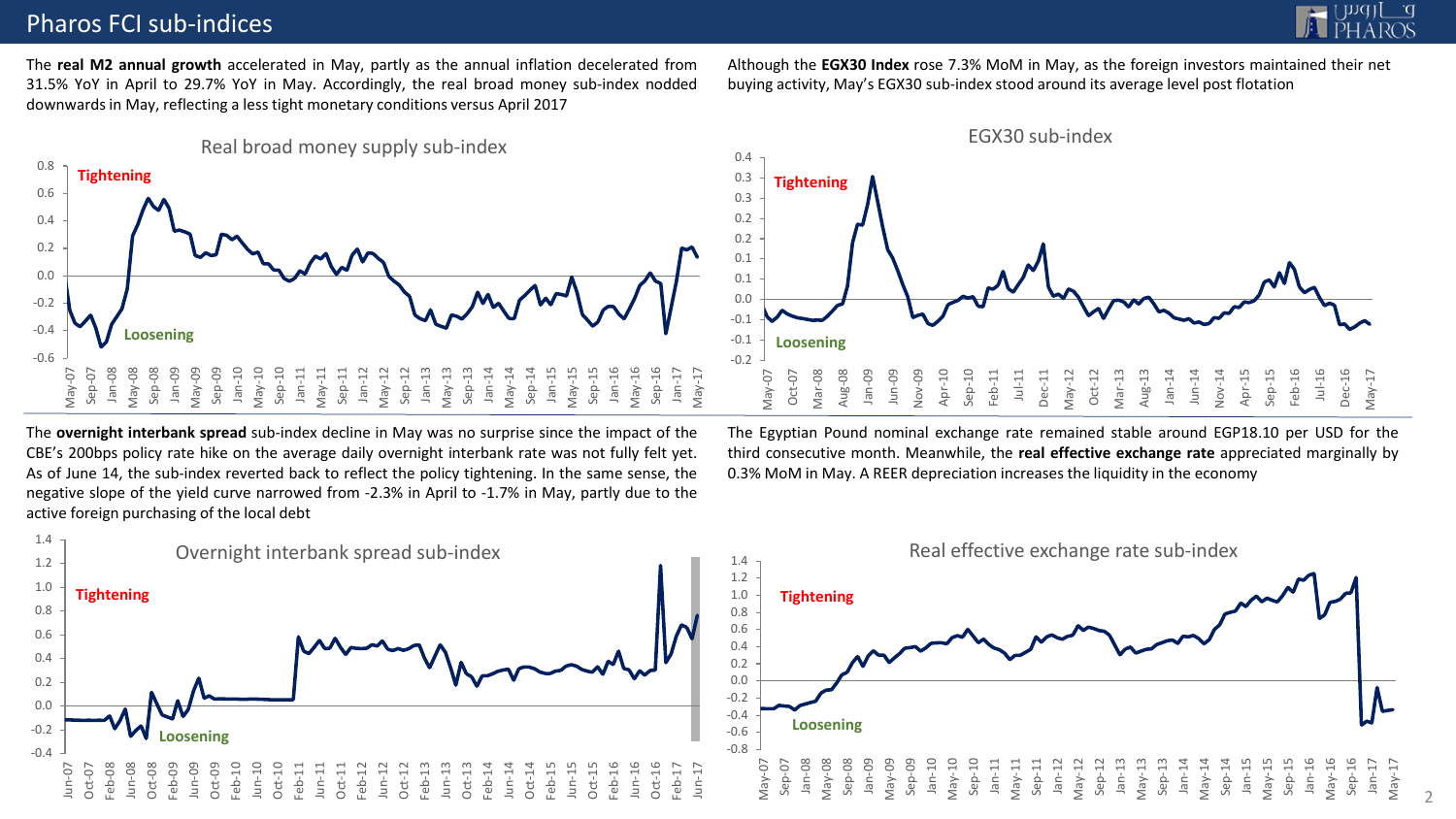## Pharos FCI sub-indices



The **real M2 annual growth** accelerated in May, partly as the annual inflation decelerated from 31.5% YoY in April to 29.7% YoY in May. Accordingly, the real broad money sub-index nodded downwards in May, reflecting a less tight monetary conditions versus April 2017



Although the **EGX30 Index** rose 7.3% MoM in May, as the foreign investors maintained their net buying activity, May's EGX30 sub-index stood around its average level post flotation



The **overnight interbank spread** sub-index decline in May was no surprise since the impact of the CBE's 200bps policy rate hike on the average daily overnight interbank rate was not fully felt yet. As of June 14, the sub-index reverted back to reflect the policy tightening. In the same sense, the negative slope of the yield curve narrowed from -2.3% in April to -1.7% in May, partly due to the active foreign purchasing of the local debt



The Egyptian Pound nominal exchange rate remained stable around EGP18.10 per USD for the third consecutive month. Meanwhile, the **real effective exchange rate** appreciated marginally by 0.3% MoM in May. A REER depreciation increases the liquidity in the economy

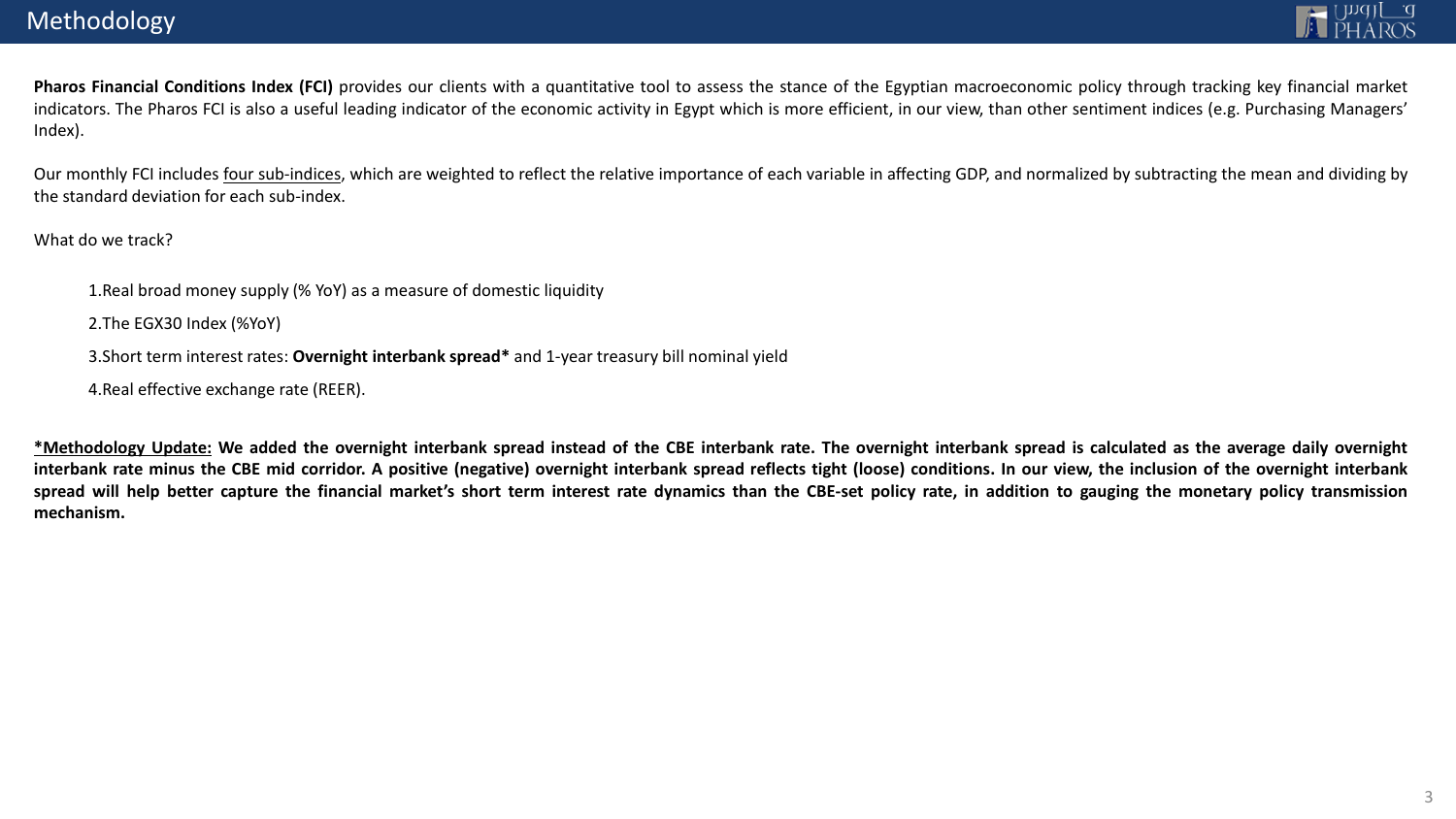**Pharos Financial Conditions Index (FCI)** provides our clients with a quantitative tool to assess the stance of the Egyptian macroeconomic policy through tracking key financial market indicators. The Pharos FCI is also a useful leading indicator of the economic activity in Egypt which is more efficient, in our view, than other sentiment indices (e.g. Purchasing Managers' Index).

Our monthly FCI includes four sub-indices, which are weighted to reflect the relative importance of each variable in affecting GDP, and normalized by subtracting the mean and dividing by the standard deviation for each sub-index.

What do we track?

1.Real broad money supply (% YoY) as a measure of domestic liquidity

2.The EGX30 Index (%YoY)

3.Short term interest rates: **Overnight interbank spread\*** and 1-year treasury bill nominal yield

4.Real effective exchange rate (REER).

\*Methodology Update: We added the overnight interbank spread instead of the CBE interbank rate. The overnight interbank spread is calculated as the average daily overnight interbank rate minus the CBE mid corridor. A positive (negative) overnight interbank spread reflects tight (loose) conditions. In our view, the inclusion of the overnight interbank spread will help better capture the financial market's short term interest rate dynamics than the CBE-set policy rate, in addition to gauging the monetary policy transmission **mechanism.**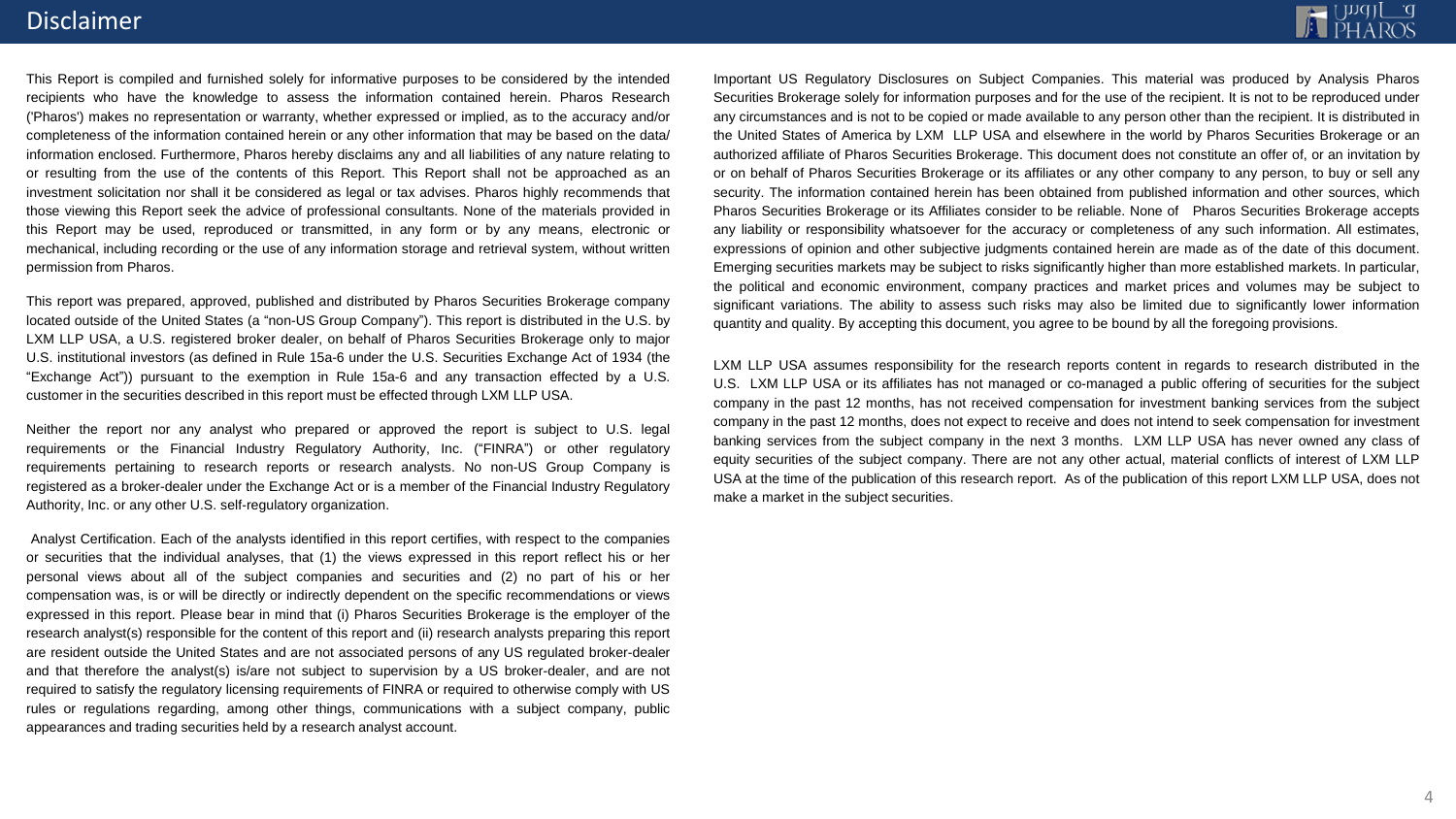## **Disclaimer**

This Report is compiled and furnished solely for informative purposes to be considered by the intended recipients who have the knowledge to assess the information contained herein. Pharos Research ('Pharos') makes no representation or warranty, whether expressed or implied, as to the accuracy and/or completeness of the information contained herein or any other information that may be based on the data/ information enclosed. Furthermore, Pharos hereby disclaims any and all liabilities of any nature relating to or resulting from the use of the contents of this Report. This Report shall not be approached as an investment solicitation nor shall it be considered as legal or tax advises. Pharos highly recommends that those viewing this Report seek the advice of professional consultants. None of the materials provided in this Report may be used, reproduced or transmitted, in any form or by any means, electronic or mechanical, including recording or the use of any information storage and retrieval system, without written permission from Pharos.

This report was prepared, approved, published and distributed by Pharos Securities Brokerage company located outside of the United States (a "non-US Group Company"). This report is distributed in the U.S. by LXM LLP USA, a U.S. registered broker dealer, on behalf of Pharos Securities Brokerage only to major U.S. institutional investors (as defined in Rule 15a-6 under the U.S. Securities Exchange Act of 1934 (the "Exchange Act")) pursuant to the exemption in Rule 15a-6 and any transaction effected by a U.S. customer in the securities described in this report must be effected through LXM LLP USA.

Neither the report nor any analyst who prepared or approved the report is subject to U.S. legal requirements or the Financial Industry Regulatory Authority, Inc. ("FINRA") or other regulatory requirements pertaining to research reports or research analysts. No non-US Group Company is registered as a broker-dealer under the Exchange Act or is a member of the Financial Industry Regulatory Authority, Inc. or any other U.S. self-regulatory organization.

Analyst Certification. Each of the analysts identified in this report certifies, with respect to the companies or securities that the individual analyses, that (1) the views expressed in this report reflect his or her personal views about all of the subject companies and securities and (2) no part of his or her compensation was, is or will be directly or indirectly dependent on the specific recommendations or views expressed in this report. Please bear in mind that (i) Pharos Securities Brokerage is the employer of the research analyst(s) responsible for the content of this report and (ii) research analysts preparing this report are resident outside the United States and are not associated persons of any US regulated broker-dealer and that therefore the analyst(s) is/are not subject to supervision by a US broker-dealer, and are not required to satisfy the regulatory licensing requirements of FINRA or required to otherwise comply with US rules or regulations regarding, among other things, communications with a subject company, public appearances and trading securities held by a research analyst account.

Important US Regulatory Disclosures on Subject Companies. This material was produced by Analysis Pharos Securities Brokerage solely for information purposes and for the use of the recipient. It is not to be reproduced under any circumstances and is not to be copied or made available to any person other than the recipient. It is distributed in the United States of America by LXM LLP USA and elsewhere in the world by Pharos Securities Brokerage or an authorized affiliate of Pharos Securities Brokerage. This document does not constitute an offer of, or an invitation by or on behalf of Pharos Securities Brokerage or its affiliates or any other company to any person, to buy or sell any security. The information contained herein has been obtained from published information and other sources, which Pharos Securities Brokerage or its Affiliates consider to be reliable. None of Pharos Securities Brokerage accepts any liability or responsibility whatsoever for the accuracy or completeness of any such information. All estimates, expressions of opinion and other subjective judgments contained herein are made as of the date of this document. Emerging securities markets may be subject to risks significantly higher than more established markets. In particular, the political and economic environment, company practices and market prices and volumes may be subject to significant variations. The ability to assess such risks may also be limited due to significantly lower information quantity and quality. By accepting this document, you agree to be bound by all the foregoing provisions.

LXM LLP USA assumes responsibility for the research reports content in regards to research distributed in the U.S. LXM LLP USA or its affiliates has not managed or co-managed a public offering of securities for the subject company in the past 12 months, has not received compensation for investment banking services from the subject company in the past 12 months, does not expect to receive and does not intend to seek compensation for investment banking services from the subject company in the next 3 months. LXM LLP USA has never owned any class of equity securities of the subject company. There are not any other actual, material conflicts of interest of LXM LLP USA at the time of the publication of this research report. As of the publication of this report LXM LLP USA, does not make a market in the subject securities.